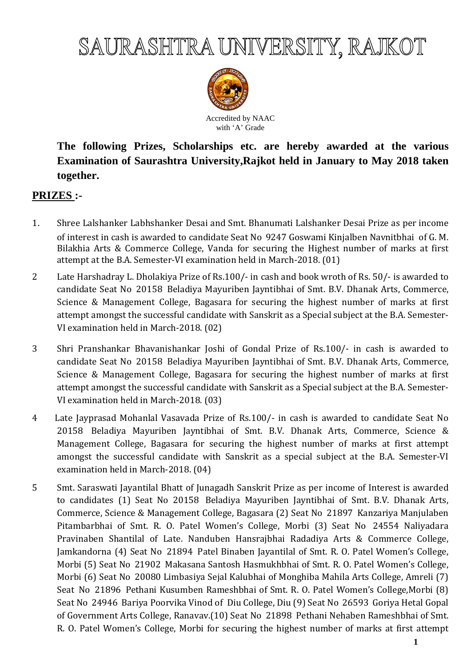

Accredited by NAAC with 'A' Grade

**The following Prizes, Scholarships etc. are hereby awarded at the various Examination of Saurashtra University,Rajkot held in January to May 2018 taken together.** 

# **PRIZES :-**

- 1. Shree Lalshanker Labhshanker Desai and Smt. Bhanumati Lalshanker Desai Prize as per income of interest in cash is awarded to candidate Seat No 9247 Goswami Kinjalben Navnitbhai of G. M. Bilakhia Arts & Commerce College, Vanda for securing the Highest number of marks at first attempt at the B.A. Semester-VI examination held in March-2018. (01)
- 2 Late Harshadray L. Dholakiya Prize of Rs.100/- in cash and book wroth of Rs. 50/- is awarded to candidate Seat No 20158 Beladiya Mayuriben Jayntibhai of Smt. B.V. Dhanak Arts, Commerce, Science & Management College, Bagasara for securing the highest number of marks at first attempt amongst the successful candidate with Sanskrit as a Special subject at the B.A. Semester-VI examination held in March-2018. (02)
- 3 Shri Pranshankar Bhavanishankar Joshi of Gondal Prize of Rs.100/- in cash is awarded to candidate Seat No 20158 Beladiya Mayuriben Jayntibhai of Smt. B.V. Dhanak Arts, Commerce, Science & Management College, Bagasara for securing the highest number of marks at first attempt amongst the successful candidate with Sanskrit as a Special subject at the B.A. Semester-VI examination held in March-2018. (03)
- 4 Late Jayprasad Mohanlal Vasavada Prize of Rs.100/- in cash is awarded to candidate Seat No 20158 Beladiya Mayuriben Jayntibhai of Smt. B.V. Dhanak Arts, Commerce, Science & Management College, Bagasara for securing the highest number of marks at first attempt amongst the successful candidate with Sanskrit as a special subject at the B.A. Semester-VI examination held in March-2018. (04)
- 5 Smt. Saraswati Jayantilal Bhatt of Junagadh Sanskrit Prize as per income of Interest is awarded to candidates (1) Seat No 20158 Beladiya Mayuriben Jayntibhai of Smt. B.V. Dhanak Arts, Commerce, Science & Management College, Bagasara (2) Seat No 21897 Kanzariya Manjulaben Pitambarbhai of Smt. R. O. Patel Women's College, Morbi (3) Seat No 24554 Naliyadara Pravinaben Shantilal of Late. Nanduben Hansrajbhai Radadiya Arts & Commerce College, Jamkandorna (4) Seat No 21894 Patel Binaben Jayantilal of Smt. R. O. Patel Women's College, Morbi (5) Seat No 21902 Makasana Santosh Hasmukhbhai of Smt. R. O. Patel Women's College, Morbi (6) Seat No 20080 Limbasiya Sejal Kalubhai of Monghiba Mahila Arts College, Amreli (7) Seat No 21896 Pethani Kusumben Rameshbhai of Smt. R. O. Patel Women's College,Morbi (8) Seat No 24946 Bariya Poorvika Vinod of Diu College, Diu (9) Seat No 26593 Goriya Hetal Gopal of Government Arts College, Ranavav.(10) Seat No 21898 Pethani Nehaben Rameshbhai of Smt. R. O. Patel Women's College, Morbi for securing the highest number of marks at first attempt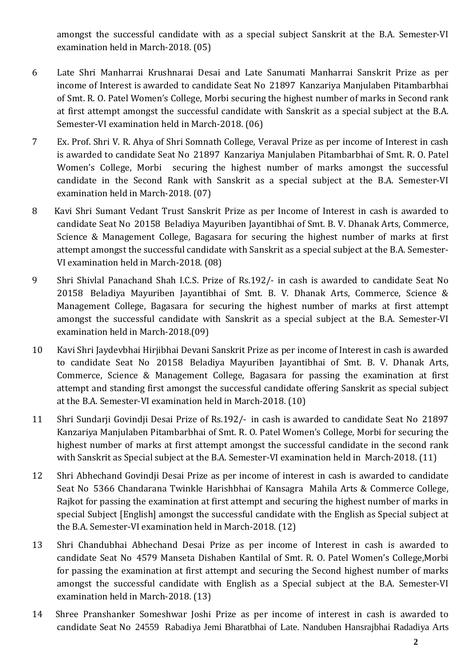amongst the successful candidate with as a special subject Sanskrit at the B.A. Semester-VI examination held in March-2018. (05)

- 6 Late Shri Manharrai Krushnarai Desai and Late Sanumati Manharrai Sanskrit Prize as per income of Interest is awarded to candidate Seat No 21897 Kanzariya Manjulaben Pitambarbhai of Smt. R. O. Patel Women's College, Morbi securing the highest number of marks in Second rank at first attempt amongst the successful candidate with Sanskrit as a special subject at the B.A. Semester-VI examination held in March-2018. (06)
- 7 Ex. Prof. Shri V. R. Ahya of Shri Somnath College, Veraval Prize as per income of Interest in cash is awarded to candidate Seat No 21897 Kanzariya Manjulaben Pitambarbhai of Smt. R. O. Patel Women's College, Morbi securing the highest number of marks amongst the successful candidate in the Second Rank with Sanskrit as a special subject at the B.A. Semester-VI examination held in March-2018. (07)
- 8 Kavi Shri Sumant Vedant Trust Sanskrit Prize as per Income of Interest in cash is awarded to candidate Seat No 20158 Beladiya Mayuriben Jayantibhai of Smt. B. V. Dhanak Arts, Commerce, Science & Management College, Bagasara for securing the highest number of marks at first attempt amongst the successful candidate with Sanskrit as a special subject at the B.A. Semester-VI examination held in March-2018. (08)
- 9 Shri Shivlal Panachand Shah I.C.S. Prize of Rs.192/- in cash is awarded to candidate Seat No 20158 Beladiya Mayuriben Jayantibhai of Smt. B. V. Dhanak Arts, Commerce, Science & Management College, Bagasara for securing the highest number of marks at first attempt amongst the successful candidate with Sanskrit as a special subject at the B.A. Semester-VI examination held in March-2018.(09)
- 10 Kavi Shri Jaydevbhai Hirjibhai Devani Sanskrit Prize as per income of Interest in cash is awarded to candidate Seat No 20158 Beladiya Mayuriben Jayantibhai of Smt. B. V. Dhanak Arts, Commerce, Science & Management College, Bagasara for passing the examination at first attempt and standing first amongst the successful candidate offering Sanskrit as special subject at the B.A. Semester-VI examination held in March-2018. (10)
- 11 Shri Sundarji Govindji Desai Prize of Rs.192/- in cash is awarded to candidate Seat No 21897 Kanzariya Manjulaben Pitambarbhai of Smt. R. O. Patel Women's College, Morbi for securing the highest number of marks at first attempt amongst the successful candidate in the second rank with Sanskrit as Special subject at the B.A. Semester-VI examination held in March-2018. (11)
- 12 Shri Abhechand Govindji Desai Prize as per income of interest in cash is awarded to candidate Seat No 5366 Chandarana Twinkle Harishbhai of Kansagra Mahila Arts & Commerce College, Rajkot for passing the examination at first attempt and securing the highest number of marks in special Subject [English] amongst the successful candidate with the English as Special subject at the B.A. Semester-VI examination held in March-2018. (12)
- 13 Shri Chandubhai Abhechand Desai Prize as per income of Interest in cash is awarded to candidate Seat No 4579 Manseta Dishaben Kantilal of Smt. R. O. Patel Women's College,Morbi for passing the examination at first attempt and securing the Second highest number of marks amongst the successful candidate with English as a Special subject at the B.A. Semester-VI examination held in March-2018. (13)
- 14 Shree Pranshanker Someshwar Joshi Prize as per income of interest in cash is awarded to candidate Seat No 24559 Rabadiya Jemi Bharatbhai of Late. Nanduben Hansrajbhai Radadiya Arts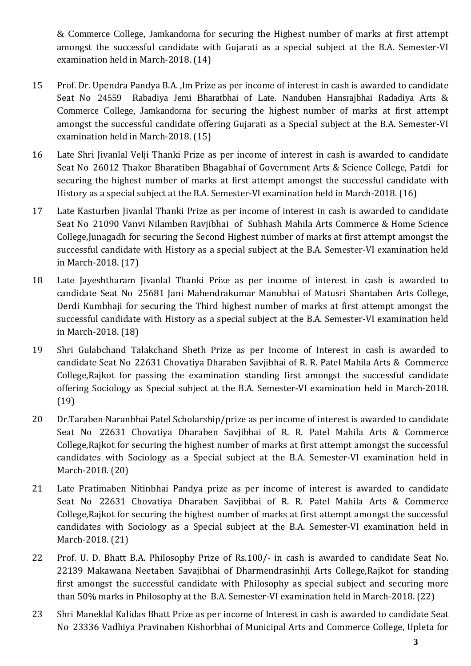& Commerce College, Jamkandorna for securing the Highest number of marks at first attempt amongst the successful candidate with Gujarati as a special subject at the B.A. Semester-VI examination held in March-2018. (14)

- 15 Prof. Dr. Upendra Pandya B.A. ,lm Prize as per income of interest in cash is awarded to candidate Seat No 24559 Rabadiya Jemi Bharatbhai of Late. Nanduben Hansrajbhai Radadiya Arts & Commerce College, Jamkandorna for securing the highest number of marks at first attempt amongst the successful candidate offering Gujarati as a Special subject at the B.A. Semester-VI examination held in March-2018. (15)
- 16 Late Shri Jivanlal Velji Thanki Prize as per income of interest in cash is awarded to candidate Seat No 26012 Thakor Bharatiben Bhagabhai of Government Arts & Science College, Patdi for securing the highest number of marks at first attempt amongst the successful candidate with History as a special subject at the B.A. Semester-VI examination held in March-2018. (16)
- 17 Late Kasturben Jivanlal Thanki Prize as per income of interest in cash is awarded to candidate Seat No 21090 Vanvi Nilamben Ravjibhai of Subhash Mahila Arts Commerce & Home Science College,Junagadh for securing the Second Highest number of marks at first attempt amongst the successful candidate with History as a special subject at the B.A. Semester-VI examination held in March-2018. (17)
- 18 Late Jayeshtharam Jivanlal Thanki Prize as per income of interest in cash is awarded to candidate Seat No 25681 Jani Mahendrakumar Manubhai of Matusri Shantaben Arts College, Derdi Kumbhaji for securing the Third highest number of marks at first attempt amongst the successful candidate with History as a special subject at the B.A. Semester-VI examination held in March-2018. (18)
- 19 Shri Gulabchand Talakchand Sheth Prize as per Income of Interest in cash is awarded to candidate Seat No 22631 Chovatiya Dharaben Savjibhai of R. R. Patel Mahila Arts & Commerce College,Rajkot for passing the examination standing first amongst the successful candidate offering Sociology as Special subject at the B.A. Semester-VI examination held in March-2018. (19)
- 20 Dr.Taraben Naranbhai Patel Scholarship/prize as per income of interest is awarded to candidate Seat No 22631 Chovatiya Dharaben Savjibhai of R. R. Patel Mahila Arts & Commerce College,Rajkot for securing the highest number of marks at first attempt amongst the successful candidates with Sociology as a Special subject at the B.A. Semester-VI examination held in March-2018. (20)
- 21 Late Pratimaben Nitinbhai Pandya prize as per income of interest is awarded to candidate Seat No 22631 Chovatiya Dharaben Savjibhai of R. R. Patel Mahila Arts & Commerce College,Rajkot for securing the highest number of marks at first attempt amongst the successful candidates with Sociology as a Special subject at the B.A. Semester-VI examination held in March-2018. (21)
- 22 Prof. U. D. Bhatt B.A. Philosophy Prize of Rs.100/- in cash is awarded to candidate Seat No. 22139 Makawana Neetaben Savajibhai of Dharmendrasinhji Arts College,Rajkot for standing first amongst the successful candidate with Philosophy as special subject and securing more than 50% marks in Philosophy at the B.A. Semester-VI examination held in March-2018. (22)
- 23 Shri Maneklal Kalidas Bhatt Prize as per income of Interest in cash is awarded to candidate Seat No 23336 Vadhiya Pravinaben Kishorbhai of Municipal Arts and Commerce College, Upleta for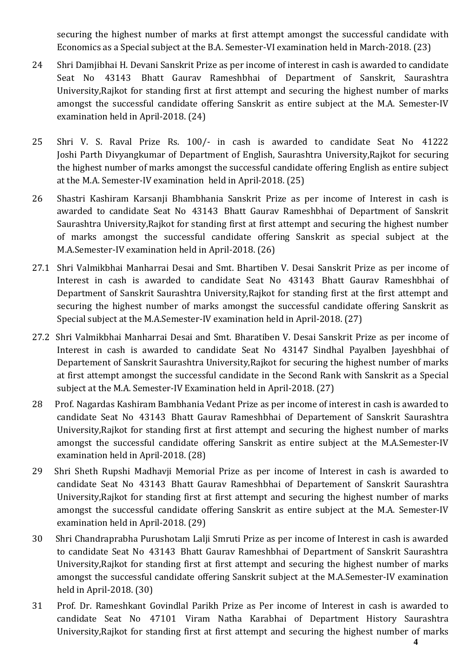securing the highest number of marks at first attempt amongst the successful candidate with Economics as a Special subject at the B.A. Semester-VI examination held in March-2018. (23)

- 24 Shri Damjibhai H. Devani Sanskrit Prize as per income of interest in cash is awarded to candidate Seat No 43143 Bhatt Gaurav Rameshbhai of Department of Sanskrit, Saurashtra University,Rajkot for standing first at first attempt and securing the highest number of marks amongst the successful candidate offering Sanskrit as entire subject at the M.A. Semester-IV examination held in April-2018. (24)
- 25 Shri V. S. Raval Prize Rs. 100/- in cash is awarded to candidate Seat No 41222 Joshi Parth Divyangkumar of Department of English, Saurashtra University,Rajkot for securing the highest number of marks amongst the successful candidate offering English as entire subject at the M.A. Semester-IV examination held in April-2018. (25)
- 26 Shastri Kashiram Karsanji Bhambhania Sanskrit Prize as per income of Interest in cash is awarded to candidate Seat No 43143 Bhatt Gaurav Rameshbhai of Department of Sanskrit Saurashtra University,Rajkot for standing first at first attempt and securing the highest number of marks amongst the successful candidate offering Sanskrit as special subject at the M.A.Semester-IV examination held in April-2018. (26)
- 27.1 Shri Valmikbhai Manharrai Desai and Smt. Bhartiben V. Desai Sanskrit Prize as per income of Interest in cash is awarded to candidate Seat No 43143 Bhatt Gaurav Rameshbhai of Department of Sanskrit Saurashtra University,Rajkot for standing first at the first attempt and securing the highest number of marks amongst the successful candidate offering Sanskrit as Special subject at the M.A.Semester-IV examination held in April-2018. (27)
- 27.2 Shri Valmikbhai Manharrai Desai and Smt. Bharatiben V. Desai Sanskrit Prize as per income of Interest in cash is awarded to candidate Seat No 43147 Sindhal Payalben Jayeshbhai of Departement of Sanskrit Saurashtra University,Rajkot for securing the highest number of marks at first attempt amongst the successful candidate in the Second Rank with Sanskrit as a Special subject at the M.A. Semester-IV Examination held in April-2018. (27)
- 28 Prof. Nagardas Kashiram Bambhania Vedant Prize as per income of interest in cash is awarded to candidate Seat No 43143 Bhatt Gaurav Rameshbhai of Departement of Sanskrit Saurashtra University,Rajkot for standing first at first attempt and securing the highest number of marks amongst the successful candidate offering Sanskrit as entire subject at the M.A.Semester-IV examination held in April-2018. (28)
- 29 Shri Sheth Rupshi Madhavji Memorial Prize as per income of Interest in cash is awarded to candidate Seat No 43143 Bhatt Gaurav Rameshbhai of Departement of Sanskrit Saurashtra University,Rajkot for standing first at first attempt and securing the highest number of marks amongst the successful candidate offering Sanskrit as entire subject at the M.A. Semester-IV examination held in April-2018. (29)
- 30 Shri Chandraprabha Purushotam Lalji Smruti Prize as per income of Interest in cash is awarded to candidate Seat No 43143 Bhatt Gaurav Rameshbhai of Department of Sanskrit Saurashtra University,Rajkot for standing first at first attempt and securing the highest number of marks amongst the successful candidate offering Sanskrit subject at the M.A.Semester-IV examination held in April-2018. (30)
- 31 Prof. Dr. Rameshkant Govindlal Parikh Prize as Per income of Interest in cash is awarded to candidate Seat No 47101 Viram Natha Karabhai of Department History Saurashtra University,Rajkot for standing first at first attempt and securing the highest number of marks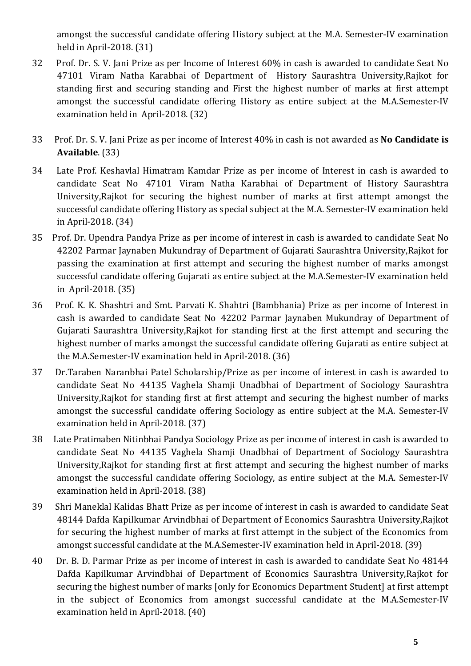amongst the successful candidate offering History subject at the M.A. Semester-IV examination held in April-2018. (31)

- 32 Prof. Dr. S. V. Jani Prize as per Income of Interest 60% in cash is awarded to candidate Seat No 47101 Viram Natha Karabhai of Department of History Saurashtra University,Rajkot for standing first and securing standing and First the highest number of marks at first attempt amongst the successful candidate offering History as entire subject at the M.A.Semester-IV examination held in April-2018. (32)
- 33 Prof. Dr. S. V. Jani Prize as per income of Interest 40% in cash is not awarded as **No Candidate is Available**. (33)
- 34 Late Prof. Keshavlal Himatram Kamdar Prize as per income of Interest in cash is awarded to candidate Seat No 47101 Viram Natha Karabhai of Department of History Saurashtra University,Rajkot for securing the highest number of marks at first attempt amongst the successful candidate offering History as special subject at the M.A. Semester-IV examination held in April-2018. (34)
- 35 Prof. Dr. Upendra Pandya Prize as per income of interest in cash is awarded to candidate Seat No 42202 Parmar Jaynaben Mukundray of Department of Gujarati Saurashtra University,Rajkot for passing the examination at first attempt and securing the highest number of marks amongst successful candidate offering Gujarati as entire subject at the M.A.Semester-IV examination held in April-2018. (35)
- 36 Prof. K. K. Shashtri and Smt. Parvati K. Shahtri (Bambhania) Prize as per income of Interest in cash is awarded to candidate Seat No 42202 Parmar Jaynaben Mukundray of Department of Gujarati Saurashtra University,Rajkot for standing first at the first attempt and securing the highest number of marks amongst the successful candidate offering Gujarati as entire subject at the M.A.Semester-IV examination held in April-2018. (36)
- 37 Dr.Taraben Naranbhai Patel Scholarship/Prize as per income of interest in cash is awarded to candidate Seat No 44135 Vaghela Shamji Unadbhai of Department of Sociology Saurashtra University,Rajkot for standing first at first attempt and securing the highest number of marks amongst the successful candidate offering Sociology as entire subject at the M.A. Semester-IV examination held in April-2018. (37)
- 38 Late Pratimaben Nitinbhai Pandya Sociology Prize as per income of interest in cash is awarded to candidate Seat No 44135 Vaghela Shamji Unadbhai of Department of Sociology Saurashtra University,Rajkot for standing first at first attempt and securing the highest number of marks amongst the successful candidate offering Sociology, as entire subject at the M.A. Semester-IV examination held in April-2018. (38)
- 39 Shri Maneklal Kalidas Bhatt Prize as per income of interest in cash is awarded to candidate Seat 48144 Dafda Kapilkumar Arvindbhai of Department of Economics Saurashtra University,Rajkot for securing the highest number of marks at first attempt in the subject of the Economics from amongst successful candidate at the M.A.Semester-IV examination held in April-2018. (39)
- 40 Dr. B. D. Parmar Prize as per income of interest in cash is awarded to candidate Seat No 48144 Dafda Kapilkumar Arvindbhai of Department of Economics Saurashtra University,Rajkot for securing the highest number of marks [only for Economics Department Student] at first attempt in the subject of Economics from amongst successful candidate at the M.A.Semester-IV examination held in April-2018. (40)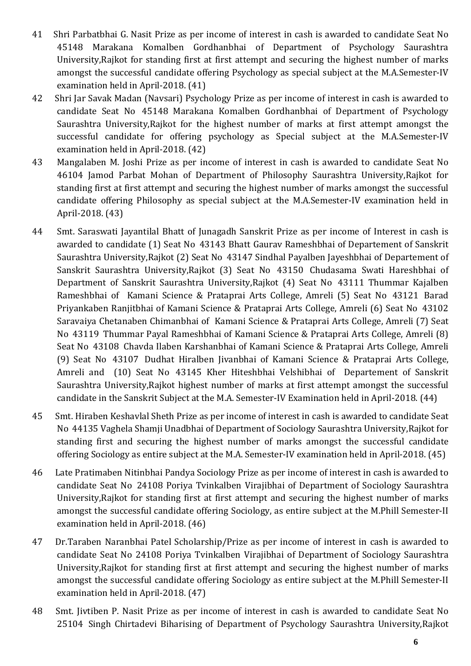- 41 Shri Parbatbhai G. Nasit Prize as per income of interest in cash is awarded to candidate Seat No 45148 Marakana Komalben Gordhanbhai of Department of Psychology Saurashtra University,Rajkot for standing first at first attempt and securing the highest number of marks amongst the successful candidate offering Psychology as special subject at the M.A.Semester-IV examination held in April-2018. (41)
- 42 Shri Jar Savak Madan (Navsari) Psychology Prize as per income of interest in cash is awarded to candidate Seat No 45148 Marakana Komalben Gordhanbhai of Department of Psychology Saurashtra University,Rajkot for the highest number of marks at first attempt amongst the successful candidate for offering psychology as Special subject at the M.A.Semester-IV examination held in April-2018. (42)
- 43 Mangalaben M. Joshi Prize as per income of interest in cash is awarded to candidate Seat No 46104 Jamod Parbat Mohan of Department of Philosophy Saurashtra University,Rajkot for standing first at first attempt and securing the highest number of marks amongst the successful candidate offering Philosophy as special subject at the M.A.Semester-IV examination held in April-2018. (43)
- 44 Smt. Saraswati Jayantilal Bhatt of Junagadh Sanskrit Prize as per income of Interest in cash is awarded to candidate (1) Seat No 43143 Bhatt Gaurav Rameshbhai of Departement of Sanskrit Saurashtra University,Rajkot (2) Seat No 43147 Sindhal Payalben Jayeshbhai of Departement of Sanskrit Saurashtra University,Rajkot (3) Seat No 43150 Chudasama Swati Hareshbhai of Department of Sanskrit Saurashtra University,Rajkot (4) Seat No 43111 Thummar Kajalben Rameshbhai of Kamani Science & Prataprai Arts College, Amreli (5) Seat No 43121 Barad Priyankaben Ranjitbhai of Kamani Science & Prataprai Arts College, Amreli (6) Seat No 43102 Saravaiya Chetanaben Chimanbhai of Kamani Science & Prataprai Arts College, Amreli (7) Seat No 43119 Thummar Payal Rameshbhai of Kamani Science & Prataprai Arts College, Amreli (8) Seat No 43108 Chavda Ilaben Karshanbhai of Kamani Science & Prataprai Arts College, Amreli (9) Seat No 43107 Dudhat Hiralben Jivanbhai of Kamani Science & Prataprai Arts College, Amreli and (10) Seat No 43145 Kher Hiteshbhai Velshibhai of Departement of Sanskrit Saurashtra University,Rajkot highest number of marks at first attempt amongst the successful candidate in the Sanskrit Subject at the M.A. Semester-IV Examination held in April-2018. (44)
- 45 Smt. Hiraben Keshavlal Sheth Prize as per income of interest in cash is awarded to candidate Seat No 44135 Vaghela Shamji Unadbhai of Department of Sociology Saurashtra University,Rajkot for standing first and securing the highest number of marks amongst the successful candidate offering Sociology as entire subject at the M.A. Semester-IV examination held in April-2018. (45)
- 46 Late Pratimaben Nitinbhai Pandya Sociology Prize as per income of interest in cash is awarded to candidate Seat No 24108 Poriya Tvinkalben Virajibhai of Department of Sociology Saurashtra University,Rajkot for standing first at first attempt and securing the highest number of marks amongst the successful candidate offering Sociology, as entire subject at the M.Phill Semester-II examination held in April-2018. (46)
- 47 Dr.Taraben Naranbhai Patel Scholarship/Prize as per income of interest in cash is awarded to candidate Seat No 24108 Poriya Tvinkalben Virajibhai of Department of Sociology Saurashtra University,Rajkot for standing first at first attempt and securing the highest number of marks amongst the successful candidate offering Sociology as entire subject at the M.Phill Semester-II examination held in April-2018. (47)
- 48 Smt. Jivtiben P. Nasit Prize as per income of interest in cash is awarded to candidate Seat No 25104 Singh Chirtadevi Biharising of Department of Psychology Saurashtra University,Rajkot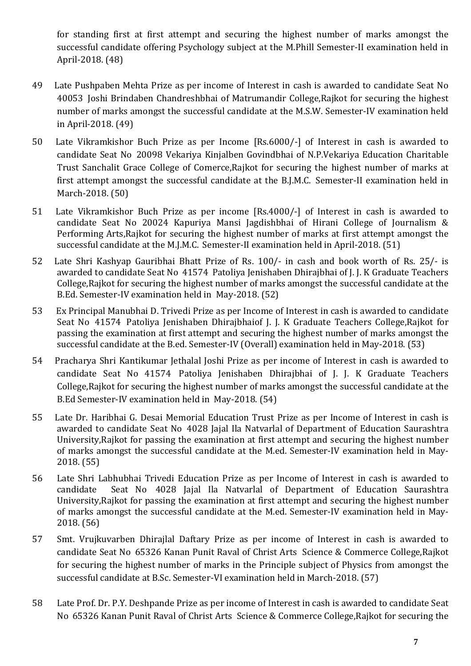for standing first at first attempt and securing the highest number of marks amongst the successful candidate offering Psychology subject at the M.Phill Semester-II examination held in April-2018. (48)

- 49 Late Pushpaben Mehta Prize as per income of Interest in cash is awarded to candidate Seat No 40053 Joshi Brindaben Chandreshbhai of Matrumandir College,Rajkot for securing the highest number of marks amongst the successful candidate at the M.S.W. Semester-IV examination held in April-2018. (49)
- 50 Late Vikramkishor Buch Prize as per Income [Rs.6000/-] of Interest in cash is awarded to candidate Seat No 20098 Vekariya Kinjalben Govindbhai of N.P.Vekariya Education Charitable Trust Sanchalit Grace College of Comerce,Rajkot for securing the highest number of marks at first attempt amongst the successful candidate at the B.J.M.C. Semester-II examination held in March-2018. (50)
- 51 Late Vikramkishor Buch Prize as per income [Rs.4000/-] of Interest in cash is awarded to candidate Seat No 20024 Kapuriya Mansi Jagdishbhai of Hirani College of Journalism & Performing Arts,Rajkot for securing the highest number of marks at first attempt amongst the successful candidate at the M.J.M.C. Semester-II examination held in April-2018. (51)
- 52 Late Shri Kashyap Gauribhai Bhatt Prize of Rs. 100/- in cash and book worth of Rs. 25/- is awarded to candidate Seat No 41574 Patoliya Jenishaben Dhirajbhai of J. J. K Graduate Teachers College,Rajkot for securing the highest number of marks amongst the successful candidate at the B.Ed. Semester-IV examination held in May-2018. (52)
- 53 Ex Principal Manubhai D. Trivedi Prize as per Income of Interest in cash is awarded to candidate Seat No 41574 Patoliya Jenishaben Dhirajbhaiof J. J. K Graduate Teachers College,Rajkot for passing the examination at first attempt and securing the highest number of marks amongst the successful candidate at the B.ed. Semester-IV (Overall) examination held in May-2018. (53)
- 54 Pracharya Shri Kantikumar Jethalal Joshi Prize as per income of Interest in cash is awarded to candidate Seat No 41574 Patoliya Jenishaben Dhirajbhai of J. J. K Graduate Teachers College,Rajkot for securing the highest number of marks amongst the successful candidate at the B.Ed Semester-IV examination held in May-2018. (54)
- 55 Late Dr. Haribhai G. Desai Memorial Education Trust Prize as per Income of Interest in cash is awarded to candidate Seat No 4028 Jajal Ila Natvarlal of Department of Education Saurashtra University,Rajkot for passing the examination at first attempt and securing the highest number of marks amongst the successful candidate at the M.ed. Semester-IV examination held in May-2018. (55)
- 56 Late Shri Labhubhai Trivedi Education Prize as per Income of Interest in cash is awarded to candidate Seat No 4028 Jajal Ila Natvarlal of Department of Education Saurashtra University,Rajkot for passing the examination at first attempt and securing the highest number of marks amongst the successful candidate at the M.ed. Semester-IV examination held in May-2018. (56)
- 57 Smt. Vrujkuvarben Dhirajlal Daftary Prize as per income of Interest in cash is awarded to candidate Seat No 65326 Kanan Punit Raval of Christ Arts Science & Commerce College,Rajkot for securing the highest number of marks in the Principle subject of Physics from amongst the successful candidate at B.Sc. Semester-VI examination held in March-2018. (57)
- 58 Late Prof. Dr. P.Y. Deshpande Prize as per income of Interest in cash is awarded to candidate Seat No 65326 Kanan Punit Raval of Christ Arts Science & Commerce College,Rajkot for securing the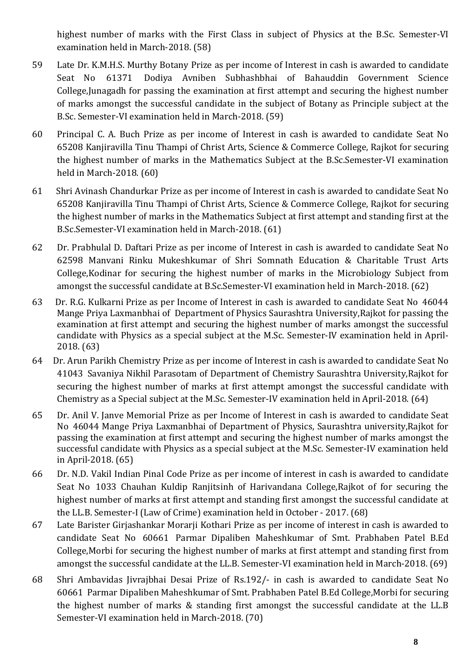highest number of marks with the First Class in subject of Physics at the B.Sc. Semester-VI examination held in March-2018. (58)

- 59 Late Dr. K.M.H.S. Murthy Botany Prize as per income of Interest in cash is awarded to candidate Seat No 61371 Dodiya Avniben Subhashbhai of Bahauddin Government Science College,Junagadh for passing the examination at first attempt and securing the highest number of marks amongst the successful candidate in the subject of Botany as Principle subject at the B.Sc. Semester-VI examination held in March-2018. (59)
- 60 Principal C. A. Buch Prize as per income of Interest in cash is awarded to candidate Seat No 65208 Kanjiravilla Tinu Thampi of Christ Arts, Science & Commerce College, Rajkot for securing the highest number of marks in the Mathematics Subject at the B.Sc.Semester-VI examination held in March-2018. (60)
- 61 Shri Avinash Chandurkar Prize as per income of Interest in cash is awarded to candidate Seat No 65208 Kanjiravilla Tinu Thampi of Christ Arts, Science & Commerce College, Rajkot for securing the highest number of marks in the Mathematics Subject at first attempt and standing first at the B.Sc.Semester-VI examination held in March-2018. (61)
- 62 Dr. Prabhulal D. Daftari Prize as per income of Interest in cash is awarded to candidate Seat No 62598 Manvani Rinku Mukeshkumar of Shri Somnath Education & Charitable Trust Arts College,Kodinar for securing the highest number of marks in the Microbiology Subject from amongst the successful candidate at B.Sc.Semester-VI examination held in March-2018. (62)
- 63 Dr. R.G. Kulkarni Prize as per Income of Interest in cash is awarded to candidate Seat No 46044 Mange Priya Laxmanbhai of Department of Physics Saurashtra University,Rajkot for passing the examination at first attempt and securing the highest number of marks amongst the successful candidate with Physics as a special subject at the M.Sc. Semester-IV examination held in April-2018. (63)
- 64 Dr. Arun Parikh Chemistry Prize as per income of Interest in cash is awarded to candidate Seat No 41043 Savaniya Nikhil Parasotam of Department of Chemistry Saurashtra University,Rajkot for securing the highest number of marks at first attempt amongst the successful candidate with Chemistry as a Special subject at the M.Sc. Semester-IV examination held in April-2018. (64)
- 65 Dr. Anil V. Janve Memorial Prize as per Income of Interest in cash is awarded to candidate Seat No 46044 Mange Priya Laxmanbhai of Department of Physics, Saurashtra university,Rajkot for passing the examination at first attempt and securing the highest number of marks amongst the successful candidate with Physics as a special subject at the M.Sc. Semester-IV examination held in April-2018. (65)
- 66 Dr. N.D. Vakil Indian Pinal Code Prize as per income of interest in cash is awarded to candidate Seat No 1033 Chauhan Kuldip Ranjitsinh of Harivandana College,Rajkot of for securing the highest number of marks at first attempt and standing first amongst the successful candidate at the LL.B. Semester-I (Law of Crime) examination held in October - 2017. (68)
- 67 Late Barister Girjashankar Morarji Kothari Prize as per income of interest in cash is awarded to candidate Seat No 60661 Parmar Dipaliben Maheshkumar of Smt. Prabhaben Patel B.Ed College,Morbi for securing the highest number of marks at first attempt and standing first from amongst the successful candidate at the LL.B. Semester-VI examination held in March-2018. (69)
- 68 Shri Ambavidas Jivrajbhai Desai Prize of Rs.192/- in cash is awarded to candidate Seat No 60661 Parmar Dipaliben Maheshkumar of Smt. Prabhaben Patel B.Ed College,Morbi for securing the highest number of marks & standing first amongst the successful candidate at the LL.B Semester-VI examination held in March-2018. (70)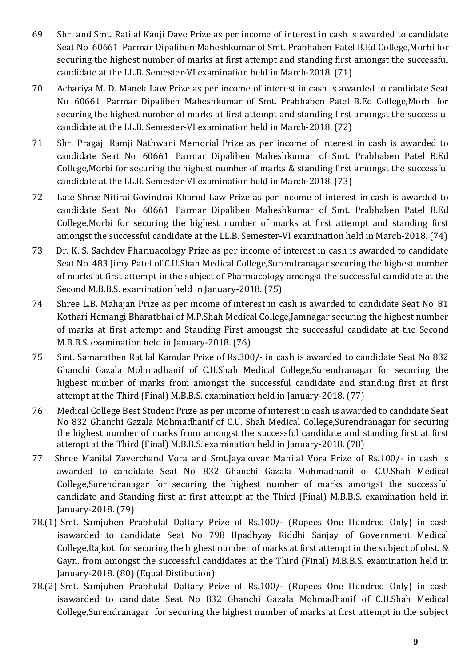- 69 Shri and Smt. Ratilal Kanji Dave Prize as per income of interest in cash is awarded to candidate Seat No 60661 Parmar Dipaliben Maheshkumar of Smt. Prabhaben Patel B.Ed College,Morbi for securing the highest number of marks at first attempt and standing first amongst the successful candidate at the LL.B. Semester-VI examination held in March-2018. (71)
- 70 Achariya M. D. Manek Law Prize as per income of interest in cash is awarded to candidate Seat No 60661 Parmar Dipaliben Maheshkumar of Smt. Prabhaben Patel B.Ed College,Morbi for securing the highest number of marks at first attempt and standing first amongst the successful candidate at the LL.B. Semester-VI examination held in March-2018. (72)
- 71 Shri Pragaji Ramji Nathwani Memorial Prize as per income of interest in cash is awarded to candidate Seat No 60661 Parmar Dipaliben Maheshkumar of Smt. Prabhaben Patel B.Ed College,Morbi for securing the highest number of marks & standing first amongst the successful candidate at the LL.B. Semester-VI examination held in March-2018. (73)
- 72 Late Shree Nitirai Govindrai Kharod Law Prize as per income of interest in cash is awarded to candidate Seat No 60661 Parmar Dipaliben Maheshkumar of Smt. Prabhaben Patel B.Ed College,Morbi for securing the highest number of marks at first attempt and standing first amongst the successful candidate at the LL.B. Semester-VI examination held in March-2018. (74)
- 73 Dr. K. S. Sachdev Pharmacology Prize as per income of interest in cash is awarded to candidate Seat No 483 Jimy Patel of C.U.Shah Medical College,Surendranagar securing the highest number of marks at first attempt in the subject of Pharmacology amongst the successful candidate at the Second M.B.B.S. examination held in January-2018. (75)
- 74 Shree L.B. Mahajan Prize as per income of interest in cash is awarded to candidate Seat No 81 Kothari Hemangi Bharatbhai of M.P.Shah Medical College,Jamnagar securing the highest number of marks at first attempt and Standing First amongst the successful candidate at the Second M.B.B.S. examination held in January-2018. (76)
- 75 Smt. Samaratben Ratilal Kamdar Prize of Rs.300/- in cash is awarded to candidate Seat No 832 Ghanchi Gazala Mohmadhanif of C.U.Shah Medical College,Surendranagar for securing the highest number of marks from amongst the successful candidate and standing first at first attempt at the Third (Final) M.B.B.S. examination held in January-2018. (77)
- 76 Medical College Best Student Prize as per income of interest in cash is awarded to candidate Seat No 832 Ghanchi Gazala Mohmadhanif of C.U. Shah Medical College,Surendranagar for securing the highest number of marks from amongst the successful candidate and standing first at first attempt at the Third (Final) M.B.B.S. examination held in January-2018. (78)
- 77 Shree Manilal Zaverchand Vora and Smt.Jayakuvar Manilal Vora Prize of Rs.100/- in cash is awarded to candidate Seat No 832 Ghanchi Gazala Mohmadhanif of C.U.Shah Medical College,Surendranagar for securing the highest number of marks amongst the successful candidate and Standing first at first attempt at the Third (Final) M.B.B.S. examination held in January-2018. (79)
- 78.(1) Smt. Samjuben Prabhulal Daftary Prize of Rs.100/- (Rupees One Hundred Only) in cash isawarded to candidate Seat No 798 Upadhyay Riddhi Sanjay of Government Medical College,Rajkot for securing the highest number of marks at first attempt in the subject of obst. & Gayn. from amongst the successful candidates at the Third (Final) M.B.B.S. examination held in January-2018. (80) (Equal Distibution)
- 78.(2) Smt. Samjuben Prabhulal Daftary Prize of Rs.100/- (Rupees One Hundred Only) in cash isawarded to candidate Seat No 832 Ghanchi Gazala Mohmadhanif of C.U.Shah Medical College,Surendranagar for securing the highest number of marks at first attempt in the subject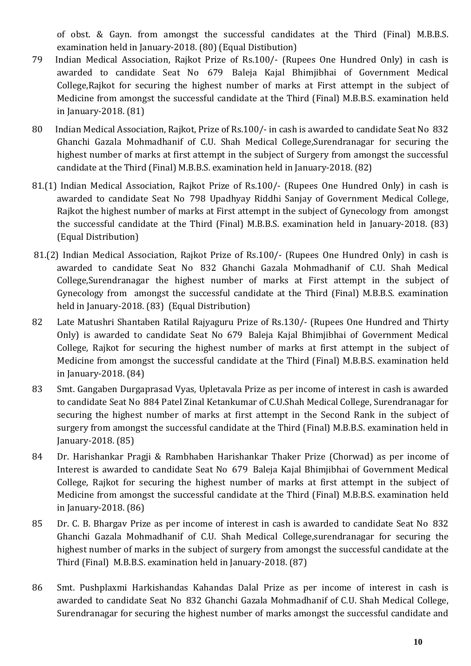of obst. & Gayn. from amongst the successful candidates at the Third (Final) M.B.B.S. examination held in January-2018. (80) (Equal Distibution)

- 79 Indian Medical Association, Rajkot Prize of Rs.100/- (Rupees One Hundred Only) in cash is awarded to candidate Seat No 679 Baleja Kajal Bhimjibhai of Government Medical College,Rajkot for securing the highest number of marks at First attempt in the subject of Medicine from amongst the successful candidate at the Third (Final) M.B.B.S. examination held in January-2018. (81)
- 80 Indian Medical Association, Rajkot, Prize of Rs.100/- in cash is awarded to candidate Seat No 832 Ghanchi Gazala Mohmadhanif of C.U. Shah Medical College,Surendranagar for securing the highest number of marks at first attempt in the subject of Surgery from amongst the successful candidate at the Third (Final) M.B.B.S. examination held in January-2018. (82)
- 81.(1) Indian Medical Association, Rajkot Prize of Rs.100/- (Rupees One Hundred Only) in cash is awarded to candidate Seat No 798 Upadhyay Riddhi Sanjay of Government Medical College, Rajkot the highest number of marks at First attempt in the subject of Gynecology from amongst the successful candidate at the Third (Final) M.B.B.S. examination held in January-2018. (83) (Equal Distribution)
- 81.(2) Indian Medical Association, Rajkot Prize of Rs.100/- (Rupees One Hundred Only) in cash is awarded to candidate Seat No 832 Ghanchi Gazala Mohmadhanif of C.U. Shah Medical College,Surendranagar the highest number of marks at First attempt in the subject of Gynecology from amongst the successful candidate at the Third (Final) M.B.B.S. examination held in January-2018. (83) (Equal Distribution)
- 82 Late Matushri Shantaben Ratilal Rajyaguru Prize of Rs.130/- (Rupees One Hundred and Thirty Only) is awarded to candidate Seat No 679 Baleja Kajal Bhimjibhai of Government Medical College, Rajkot for securing the highest number of marks at first attempt in the subject of Medicine from amongst the successful candidate at the Third (Final) M.B.B.S. examination held in January-2018. (84)
- 83 Smt. Gangaben Durgaprasad Vyas, Upletavala Prize as per income of interest in cash is awarded to candidate Seat No 884 Patel Zinal Ketankumar of C.U.Shah Medical College, Surendranagar for securing the highest number of marks at first attempt in the Second Rank in the subject of surgery from amongst the successful candidate at the Third (Final) M.B.B.S. examination held in January-2018. (85)
- 84 Dr. Harishankar Pragji & Rambhaben Harishankar Thaker Prize (Chorwad) as per income of Interest is awarded to candidate Seat No 679 Baleja Kajal Bhimjibhai of Government Medical College, Rajkot for securing the highest number of marks at first attempt in the subject of Medicine from amongst the successful candidate at the Third (Final) M.B.B.S. examination held in January-2018. (86)
- 85 Dr. C. B. Bhargav Prize as per income of interest in cash is awarded to candidate Seat No 832 Ghanchi Gazala Mohmadhanif of C.U. Shah Medical College,surendranagar for securing the highest number of marks in the subject of surgery from amongst the successful candidate at the Third (Final) M.B.B.S. examination held in January-2018. (87)
- 86 Smt. Pushplaxmi Harkishandas Kahandas Dalal Prize as per income of interest in cash is awarded to candidate Seat No 832 Ghanchi Gazala Mohmadhanif of C.U. Shah Medical College, Surendranagar for securing the highest number of marks amongst the successful candidate and